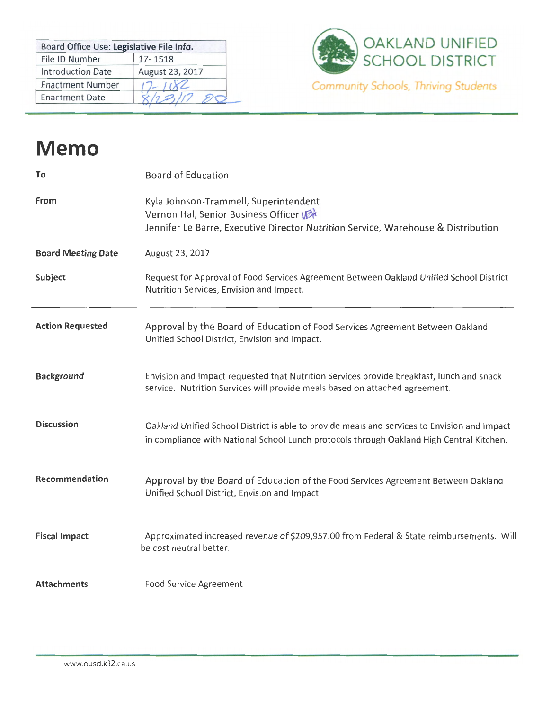| Board Office Use: Legislative File Info. |                 |
|------------------------------------------|-----------------|
| File ID Number                           | 17-1518         |
| <b>Introduction Date</b>                 | August 23, 2017 |
| <b>Enactment Number</b>                  |                 |
| <b>Enactment Date</b>                    |                 |



## **Memo**

| To                        | <b>Board of Education</b>                                                                                                                                                                |
|---------------------------|------------------------------------------------------------------------------------------------------------------------------------------------------------------------------------------|
| From                      | Kyla Johnson-Trammell, Superintendent<br>Vernon Hal, Senior Business Officer<br>Jennifer Le Barre, Executive Director Nutrition Service, Warehouse & Distribution                        |
| <b>Board Meeting Date</b> | August 23, 2017                                                                                                                                                                          |
| Subject                   | Request for Approval of Food Services Agreement Between Oakland Unified School District<br>Nutrition Services, Envision and Impact.                                                      |
| <b>Action Requested</b>   | Approval by the Board of Education of Food Services Agreement Between Oakland<br>Unified School District, Envision and Impact.                                                           |
| <b>Background</b>         | Envision and Impact requested that Nutrition Services provide breakfast, lunch and snack<br>service. Nutrition Services will provide meals based on attached agreement.                  |
| <b>Discussion</b>         | Oakland Unified School District is able to provide meals and services to Envision and Impact<br>in compliance with National School Lunch protocols through Oakland High Central Kitchen. |
| Recommendation            | Approval by the Board of Education of the Food Services Agreement Between Oakland<br>Unified School District, Envision and Impact.                                                       |
| <b>Fiscal Impact</b>      | Approximated increased revenue of \$209,957.00 from Federal & State reimbursements. Will<br>be cost neutral better.                                                                      |
| <b>Attachments</b>        | Food Service Agreement                                                                                                                                                                   |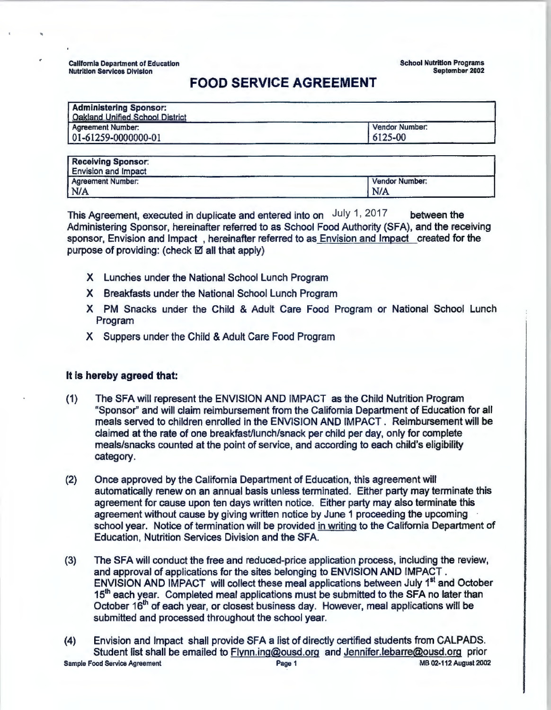California Department of Education Nutrition Services Division

**School** Nutrition **Programs September 2002** 

## **FOOD SERVICE AGREEMENT**

| <b>Qakland Unified School District</b> |                |
|----------------------------------------|----------------|
| Agreement Number:                      | Vendor Number: |
| 01-61259-0000000-01                    | 6125-00        |

| <b>Vendor Number:</b> |
|-----------------------|
| N/A                   |
|                       |

This Agreement, executed in duplicate and entered into on July 1, 2017 between the Administering Sponsor, hereinafter referred to as School Food Authority (SFA), and the receiving sponsor, Envision and Impact , hereinafter referred to as Envision and Impact created for the purpose of providing: (check  $\boxtimes$  all that apply)

- X Lunches under the National School Lunch Program
- X Breakfasts under the National School Lunch Program
- X PM Snacks under the Child & Adult Care Food Program or National School Lunch Program
- X Suppers under the Child & Adult Care Food Program

## **It is hereby agreed that:**

- (1) The SFA will represent the ENVISION AND IMPACT as the Child Nutrition Program "Sponsor" and will claim reimbursement from the California Department of Education for all meals served to children enrolled in the ENVISION AND IMPACT . Reimbursement will be claimed at the rate of one breakfast/lunch/snack per child per day, only for complete meals/snacks counted at the point of service, and according to each child's eligibility category.
- (2) Once approved by the California Department of Education, this agreement will automatically renew on an annual basis unless terminated. Either party may terminate this agreement for cause upon ten days written notice. Either party may also terminate this agreement without cause by giving written notice by June 1 proceeding the upcoming school year. Notice of termination will be provided in writing to the California Department of Education, Nutrition Services Division and the SFA.
- (3) The SFA will conduct the free and reduced-price application process, including the review, and approval of applications for the sites belonging to ENVISION AND IMPACT . ENVISION AND IMPACT will collect these meal applications between July 1<sup>st</sup> and October 15<sup>th</sup> each year. Completed meal applications must be submitted to the SFA no later than October 16<sup>th</sup> of each year, or closest business day. However, meal applications will be submitted and processed throughout the school year.
- (4) Envision and Impact shall provide SFA a list of directly certified students from CALPADS. Student list shall be emailed to Flynn.ing@ousd.org and Jennifer.lebarre@ousd.org prior Sample Food **Service** Agreement **Page** 1 MB 02-112 August 2002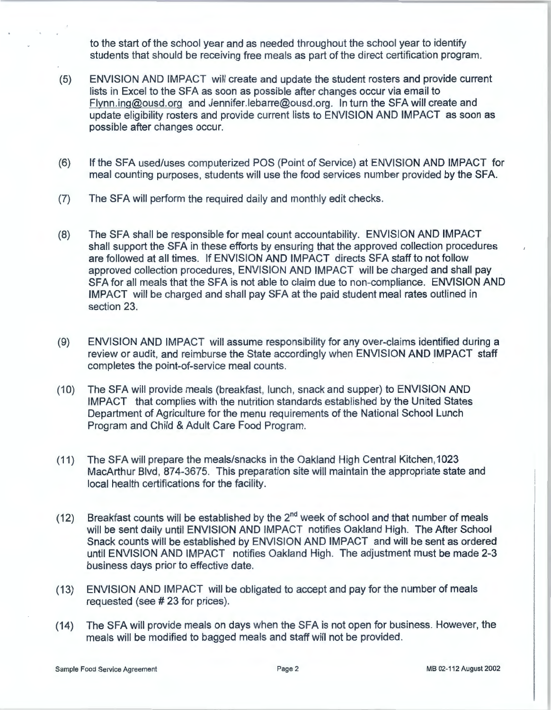to the start of the school year and as needed throughout the school year to identify students that should be receiving free meals as part of the direct certification program.

- (5) ENVISION AND IMPACT will create and update the student rosters and provide current lists in Excel to the SFA as soon as possible after changes occur via email to Flynn.ing@ousd.org and Jennifer.lebarre@ousd.org. In turn the SFA will create and update eligibility rosters and provide current lists to ENVISION AND IMPACT as soon as possible after changes occur.
- (6) If the SFA used/uses computerized POS (Point of Service) at ENVISION AND IMPACT for meal counting purposes, students will use the food services number provided by the SFA.
- (7) The SFA will perform the required daily and monthly edit checks.
- (8) The SFA shall be responsible for meal count accountability. ENVISION AND IMPACT shall support the SFA in these efforts by ensuring that the approved collection procedures are followed at all times. If ENVISION AND IMPACT directs SFA staff to not follow approved collection procedures, ENVISION AND IMPACT will be charged and shall pay SFA for all meals that the SFA is not able to claim due to non-compliance. ENVISION AND IMPACT will be charged and shall pay SFA at the paid student meal rates outlined in section 23.
- (9) ENVISION AND IMPACT will assume responsibility for any over-claims identified during a review or audit, and reimburse the State accordingly when ENVISION AND IMPACT staff completes the point-of-service meal counts.
- (10) The SFA will provide meals (breakfast, lunch, snack and supper) to ENVISION AND IMPACT that complies with the nutrition standards established by the United States Department of Agriculture for the menu requirements of the National School Lunch Program and Child & Adult Care Food Program.
- (11) The SFA will prepare the meals/snacks in the Oakland High Central Kitchen, 1023 MacArthur Blvd, 874-3675. This preparation site will maintain the appropriate state and local health certifications for the facility.
- (12) Breakfast counts will be established by the  $2^{nd}$  week of school and that number of meals will be sent daily until ENVISION AND IMPACT notifies Oakland High. The After School Snack counts will be established by ENVISION AND IMPACT and will be sent as ordered until ENVISION AND IMPACT notifies Oakland High. The adjustment must be made 2-3 business days prior to effective date.
- (13) ENVISION AND IMPACT will be obligated to accept and pay for the number of meals requested (see# 23 for prices).
- (14) The SFA will provide meals on days when the SFA is not open for business. However, the meals will be modified to bagged meals and staff will not be provided.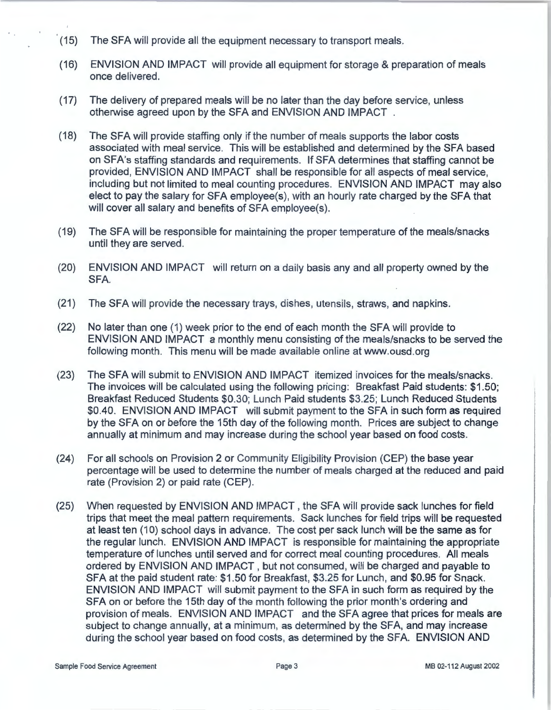- (15) The SFA will provide all the equipment necessary to transport meals.
- (16) ENVISION AND IMPACT will provide all equipment for storage & preparation of meals once delivered.
- (17) The delivery of prepared meals will be no later than the day before service, unless otherwise agreed upon by the SFA and ENVISION AND IMPACT .
- (18) The SFA will provide staffing only if the number of meals supports the labor costs associated with meal service. This will be established and determined by the SFA based on SFA's staffing standards and requirements. If SFA determines that staffing cannot be provided, ENVISION AND IMPACT shall be responsible for all aspects of meal service, including but not limited to meal counting procedures. ENVISION AND IMPACT may also elect to pay the salary for SFA employee(s), with an hourly rate charged by the SFA that will cover all salary and benefits of SFA employee(s).
- (19) The SFA will be responsible for maintaining the proper temperature of the meals/snacks until they are served.
- (20) ENVISION AND IMPACT will return on a daily basis any and all property owned by the SFA.
- (21) The SFA will provide the necessary trays, dishes, utensils, straws, and napkins.
- (22) No later than one (1) week prior to the end of each month the SFA will provide to ENVISION AND IMPACT a monthly menu consisting of the meals/snacks to be served the following month. This menu will be made available online at www.ousd.org
- (23) The SFA will submit to ENVISION AND IMPACT itemized invoices for the meals/snacks. The invoices will be calculated using the following pricing: Breakfast Paid students: \$1 .50; Breakfast Reduced Students \$0.30; Lunch Paid students \$3.25; Lunch Reduced Students \$0.40. ENVISION AND IMPACT will submit payment to the SFA in such form as required by the SFA on or before the 15th day of the following month. Prices are subject to change annually at minimum and may increase during the school year based on food costs.
- (24) For all schools on Provision 2 or Community Eligibility Provision (CEP) the base year percentage will be used to determine the number of meals charged at the reduced and paid rate (Provision 2) or paid rate (CEP).
- (25) When requested by ENVISION AND IMPACT , the SFA will provide sack lunches for field trips that meet the meal pattern requirements. Sack lunches for field trips will be requested at least ten (10) school days in advance. The cost per sack lunch will be the same as for the regular lunch. ENVISION AND IMPACT is responsible for maintaining the appropriate temperature of lunches until served and for correct meal counting procedures. All meals ordered by ENVISION AND IMPACT, but not consumed, will be charged and payable to SFA at the paid student rate: \$1.50 for Breakfast, \$3.25 for Lunch, and \$0.95 for Snack. ENVISION AND IMPACT will submit payment to the SFA in such form as required by the SFA on or before the 15th day of the month following the prior month's ordering and provision of meals. ENVISION AND IMPACT and the SFA agree that prices for meals are subject to change annually, at a minimum, as determined by the SFA, and may increase during the school year based on food costs, as determined by the SFA. ENVISION AND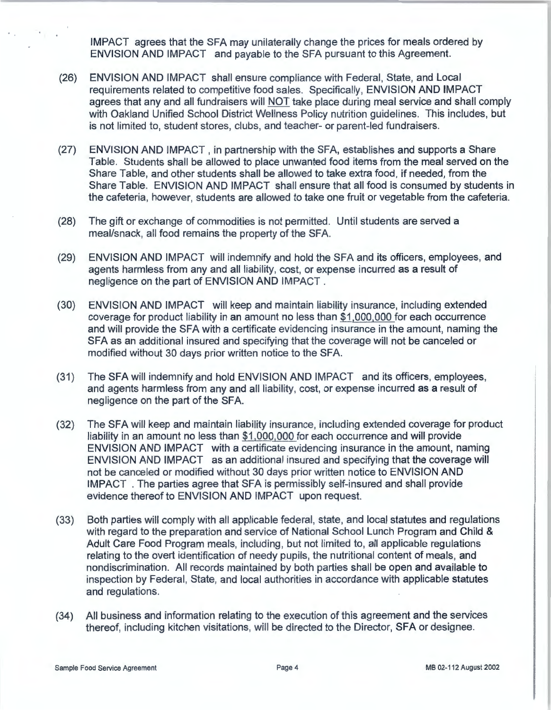IMPACT agrees that the SFA may unilaterally change the prices for meals ordered by ENVISION AND IMPACT and payable to the SFA pursuant to this Agreement.

- (26) ENVISION AND IMPACT shall ensure compliance with Federal, State, and Local requirements related to competitive food sales. Specifically, ENVISION AND IMPACT agrees that any and all fundraisers will NOT take place during meal service and shall comply with Oakland Unified School District Wellness Policy nutrition guidelines. This includes, but is not limited to, student stores, clubs, and teacher- or parent-led fundraisers.
- (27) ENVISION AND IMPACT , in partnership with the SFA, establishes and supports a Share Table. Students shall be allowed to place unwanted food items from the meal served on the Share Table, and other students shall be allowed to take extra food, if needed, from the Share Table. ENVISION AND IMPACT shall ensure that all food is consumed by students in the cafeteria, however, students are allowed to take one fruit or vegetable from the cafeteria.
- (28) The gift or exchange of commodities is not permitted. Until students are served a meal/snack, all food remains the property of the SFA.
- (29) ENVISION AND IMPACT will indemnify and hold the SFA and its officers, employees, and agents harmless from any and all liability, cost, or expense incurred as a result of negligence on the part of ENVISION AND IMPACT .
- (30) ENVISION AND IMPACT will keep and maintain liability insurance, including extended coverage for product liability in an amount no less than \$1,000,000 for each occurrence and will provide the SFA with a certificate evidencing insurance in the amount, naming the SFA as an additional insured and specifying that the coverage will not be canceled or modified without 30 days prior written notice to the SFA.
- (31) The SFA will indemnify and hold ENVISION AND IMPACT and its officers, employees, and agents harmless from any and all liability, cost, or expense incurred as a result of negligence on the part of the SFA.
- (32) The SFA will keep and maintain liability insurance, including extended coverage for product liability in an amount no less than \$1 ,000,000 for each occurrence and will provide ENVISION AND IMPACT with a certificate evidencing insurance in the amount, naming ENVISION AND IMPACT as an additional insured and specifying that the coverage will not be canceled or modified without 30 days prior written notice to ENVISION AND IMPACT . The parties agree that SFA is permissibly self-insured and shall provide evidence thereof to ENVISION AND IMPACT upon request.
- (33) Both parties will comply with all applicable federal, state, and local statutes and regulations with regard to the preparation and service of National School Lunch Program and Child & Adult Care Food Program meals, including, but not limited to, all applicable regulations relating to the overt identification of needy pupils, the nutritional content of meals, and nondiscrimination. All records maintained by both parties shall be open and available to inspection by Federal, State, and local authorities in accordance with applicable statutes and regulations .
- (34) All business and information relating to the execution of this agreement and the services thereof, including kitchen visitations, will be directed to the Director, SFA or designee.